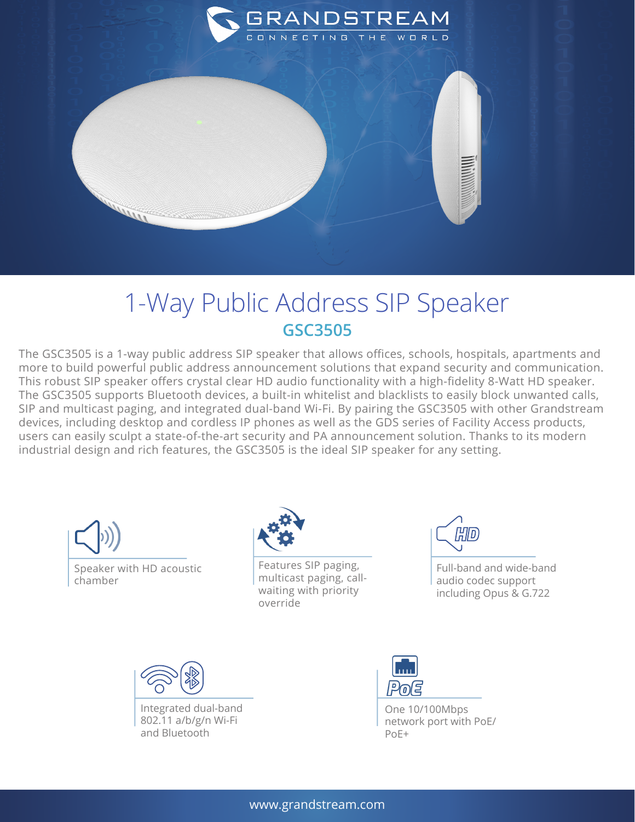

## 1-Way Public Address SIP Speaker **GSC3505**

The GSC3505 is a 1-way public address SIP speaker that allows offices, schools, hospitals, apartments and more to build powerful public address announcement solutions that expand security and communication. This robust SIP speaker offers crystal clear HD audio functionality with a high-fidelity 8-Watt HD speaker. The GSC3505 supports Bluetooth devices, a built-in whitelist and blacklists to easily block unwanted calls, SIP and multicast paging, and integrated dual-band Wi-Fi. By pairing the GSC3505 with other Grandstream devices, including desktop and cordless IP phones as well as the GDS series of Facility Access products, users can easily sculpt a state-of-the-art security and PA announcement solution. Thanks to its modern industrial design and rich features, the GSC3505 is the ideal SIP speaker for any setting.





Features SIP paging, multicast paging, callwaiting with priority override



Full-band and wide-band audio codec support including Opus & G.722



Integrated dual-band 802.11 a/b/g/n Wi-Fi and Bluetooth



One 10/100Mbps network port with PoE/ PoE+